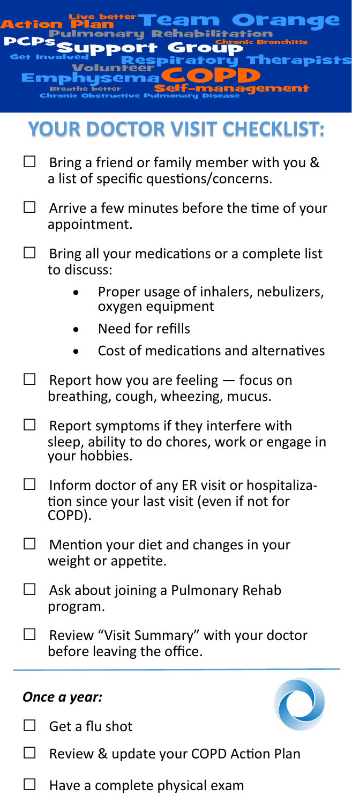|                                     | Reha<br>$\bullet$<br>herapis                                                                              |
|-------------------------------------|-----------------------------------------------------------------------------------------------------------|
| <b>YOUR DOCTOR VISIT CHECKLIST:</b> |                                                                                                           |
| $\perp$                             | Bring a friend or family member with you &<br>a list of specific questions/concerns.                      |
| $\Box$                              | Arrive a few minutes before the time of your<br>appointment.                                              |
| $\overline{\phantom{a}}$            | Bring all your medications or a complete list<br>to discuss:                                              |
|                                     | Proper usage of inhalers, nebulizers,<br>oxygen equipment                                                 |
|                                     | Need for refills                                                                                          |
|                                     | Cost of medications and alternatives                                                                      |
| $\Box$ .                            | Report how you are feeling - focus on<br>breathing, cough, wheezing, mucus.                               |
| Π                                   | Report symptoms if they interfere with<br>sleep, ability to do chores, work or engage in<br>your hobbies. |
|                                     | Inform doctor of any ER visit or hospitaliza-<br>tion since your last visit (even if not for<br>COPD).    |
|                                     | Mention your diet and changes in your<br>weight or appetite.                                              |
| $\perp$                             | Ask about joining a Pulmonary Rehab<br>program.                                                           |

 $\Box$  Review "Visit Summary" with your doctor before leaving the office.

#### *Once a year:*

 $\Box$  Get a flu shot

□ Review & update your COPD Action Plan

 $\Box$  Have a complete physical exam